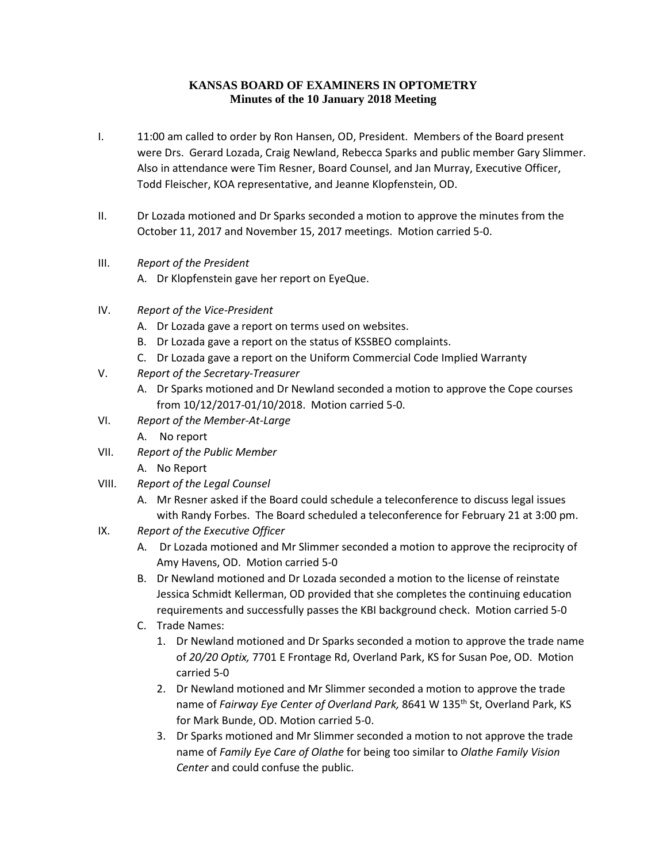## **KANSAS BOARD OF EXAMINERS IN OPTOMETRY Minutes of the 10 January 2018 Meeting**

- I. 11:00 am called to order by Ron Hansen, OD, President. Members of the Board present were Drs. Gerard Lozada, Craig Newland, Rebecca Sparks and public member Gary Slimmer. Also in attendance were Tim Resner, Board Counsel, and Jan Murray, Executive Officer, Todd Fleischer, KOA representative, and Jeanne Klopfenstein, OD.
- II. Dr Lozada motioned and Dr Sparks seconded a motion to approve the minutes from the October 11, 2017 and November 15, 2017 meetings. Motion carried 5-0.
- III. *Report of the President*
	- A. Dr Klopfenstein gave her report on EyeQue.
- IV. *Report of the Vice-President*
	- A. Dr Lozada gave a report on terms used on websites.
	- B. Dr Lozada gave a report on the status of KSSBEO complaints.
	- C. Dr Lozada gave a report on the Uniform Commercial Code Implied Warranty
- V. *Report of the Secretary-Treasurer*
	- A. Dr Sparks motioned and Dr Newland seconded a motion to approve the Cope courses from 10/12/2017-01/10/2018. Motion carried 5-0.
- VI. *Report of the Member-At-Large*
	- A. No report
- VII. *Report of the Public Member*
	- A. No Report
- VIII. *Report of the Legal Counsel*
	- A. Mr Resner asked if the Board could schedule a teleconference to discuss legal issues with Randy Forbes. The Board scheduled a teleconference for February 21 at 3:00 pm.
- IX. *Report of the Executive Officer*
	- A. Dr Lozada motioned and Mr Slimmer seconded a motion to approve the reciprocity of Amy Havens, OD. Motion carried 5-0
	- B. Dr Newland motioned and Dr Lozada seconded a motion to the license of reinstate Jessica Schmidt Kellerman, OD provided that she completes the continuing education requirements and successfully passes the KBI background check. Motion carried 5-0
	- C. Trade Names:
		- 1. Dr Newland motioned and Dr Sparks seconded a motion to approve the trade name of *20/20 Optix,* 7701 E Frontage Rd, Overland Park, KS for Susan Poe, OD. Motion carried 5-0
		- 2. Dr Newland motioned and Mr Slimmer seconded a motion to approve the trade name of *Fairway Eye Center of Overland Park*, 8641 W 135<sup>th</sup> St, Overland Park, KS for Mark Bunde, OD. Motion carried 5-0.
		- 3. Dr Sparks motioned and Mr Slimmer seconded a motion to not approve the trade name of *Family Eye Care of Olathe* for being too similar to *Olathe Family Vision Center* and could confuse the public.